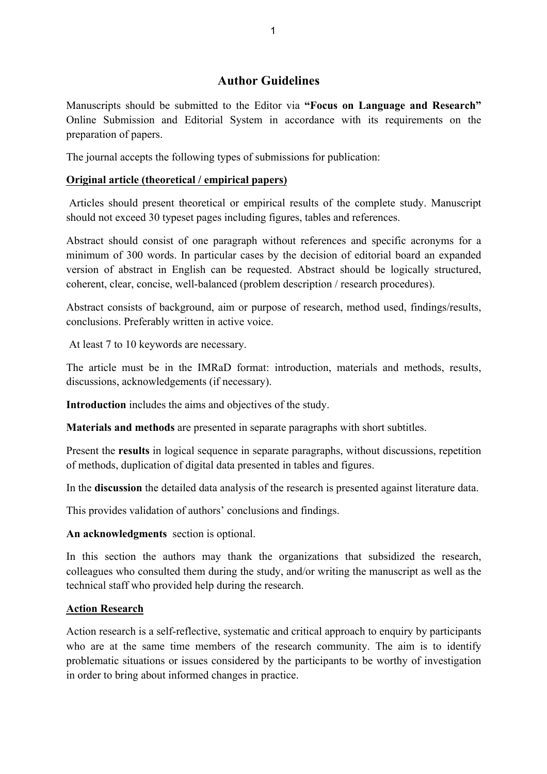# **Author Guidelines**

Manuscripts should be submitted to the Editor via **"Focus on Language and Research"** Online Submission and Editorial System in accordance with its requirements on the preparation of papers.

The journal accepts the following types of submissions for publication:

# **Original article (theoretical / empirical papers)**

Articles should present theoretical or empirical results of the complete study. Manuscript should not exceed 30 typeset pages including figures, tables and references.

Abstract should consist of one paragraph without references and specific acronyms for a minimum of 300 words. In particular cases by the decision of editorial board an expanded version of abstract in English can be requested. Abstract should be logically structured, coherent, clear, concise, well-balanced (problem description / research procedures).

Abstract consists of background, aim or purpose of research, method used, findings/results, conclusions. Preferably written in active voice.

At least 7 to 10 keywords are necessary.

The article must be in the IMRaD format: introduction, materials and methods, results, discussions, acknowledgements (if necessary).

**Introduction** includes the aims and objectives of the study.

**Materials and methods** are presented in separate paragraphs with short subtitles.

Present the **results** in logical sequence in separate paragraphs, without discussions, repetition of methods, duplication of digital data presented in tables and figures.

In the **discussion** the detailed data analysis of the research is presented against literature data.

This provides validation of authors' conclusions and findings.

**An acknowledgments** section is optional.

In this section the authors may thank the organizations that subsidized the research, colleagues who consulted them during the study, and/or writing the manuscript as well as the technical staff who provided help during the research.

# **Action Research**

Action research is a self-reflective, systematic and critical approach to enquiry by participants who are at the same time members of the research community. The aim is to identify problematic situations or issues considered by the participants to be worthy of investigation in order to bring about informed changes in practice.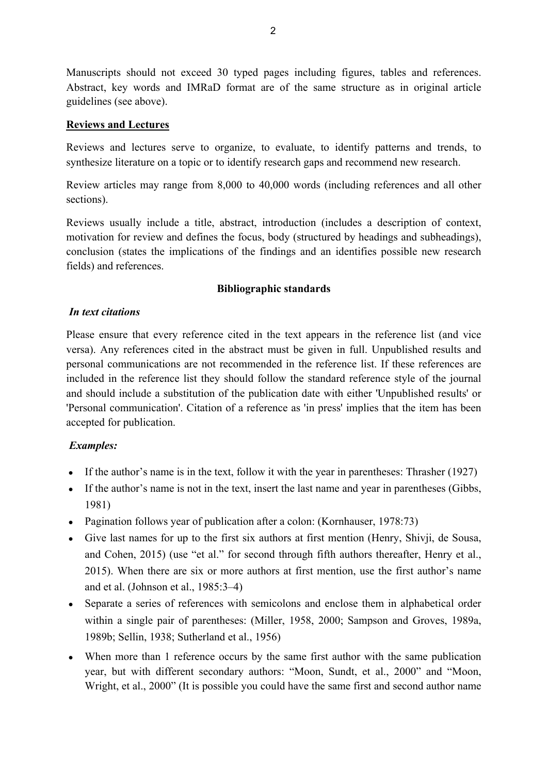Manuscripts should not exceed 30 typed pages including figures, tables and references. Abstract, key words and IMRaD format are of the same structure as in original article guidelines (see above).

## **Reviews and Lectures**

Reviews and lectures serve to organize, to evaluate, to identify patterns and trends, to synthesize literature on a topic or to identify research gaps and recommend new research.

Review articles may range from 8,000 to 40,000 words (including references and all other sections).

Reviews usually include a title, abstract, introduction (includes a description of context, motivation for review and defines the focus, body (structured by headings and subheadings), conclusion (states the implications of the findings and an identifies possible new research fields) and references.

### **Bibliographic standards**

### *In text citations*

Please ensure that every reference cited in the text appears in the reference list (and vice versa). Any references cited in the abstract must be given in full. Unpublished results and personal communications are not recommended in the reference list. If these references are included in the reference list they should follow the standard reference style of the journal and should include a substitution of the publication date with either 'Unpublished results' or 'Personal communication'. Citation of a reference as 'in press' implies that the item has been accepted for publication.

# *Examples:*

- If the author's name is in the text, follow it with the year in parentheses: Thrasher (1927)
- If the author's name is not in the text, insert the last name and year in parentheses (Gibbs, 1981)
- Pagination follows year of publication after a colon: (Kornhauser, 1978:73)
- Give last names for up to the first six authors at first mention (Henry, Shivii, de Sousa, and Cohen, 2015) (use "et al." for second through fifth authors thereafter, Henry et al., 2015). When there are six or more authors at first mention, use the first author's name and et al. (Johnson et al., 1985:3–4)
- Separate a series of references with semicolons and enclose them in alphabetical order within a single pair of parentheses: (Miller, 1958, 2000; Sampson and Groves, 1989a, 1989b; Sellin, 1938; Sutherland et al., 1956)
- When more than 1 reference occurs by the same first author with the same publication year, but with different secondary authors: "Moon, Sundt, et al., 2000" and "Moon, Wright, et al., 2000" (It is possible you could have the same first and second author name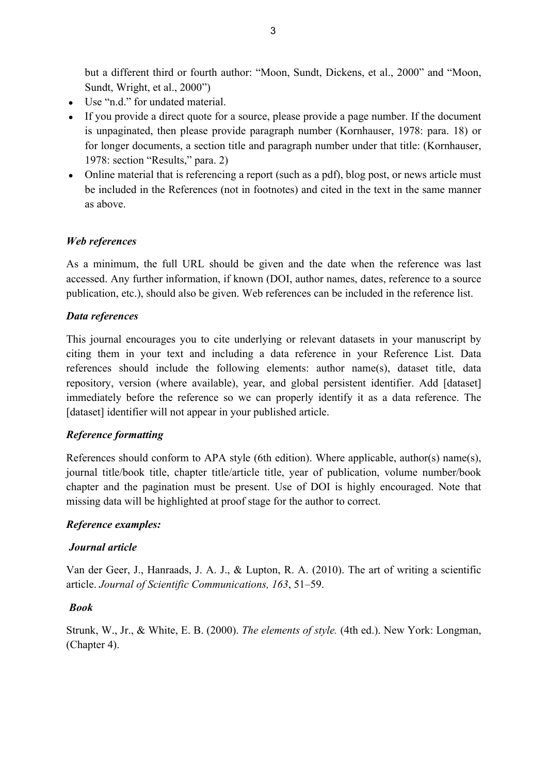but a different third or fourth author: "Moon, Sundt, Dickens, et al., 2000" and "Moon, Sundt, Wright, et al., 2000")

- Use "n.d." for undated material.
- If you provide a direct quote for a source, please provide a page number. If the document is unpaginated, then please provide paragraph number (Kornhauser, 1978: para. 18) or for longer documents, a section title and paragraph number under that title: (Kornhauser, 1978: section "Results," para. 2)
- Online material that is referencing a report (such as a pdf), blog post, or news article must be included in the References (not in footnotes) and cited in the text in the same manner as above.

# *Web references*

As a minimum, the full URL should be given and the date when the reference was last accessed. Any further information, if known (DOI, author names, dates, reference to a source publication, etc.), should also be given. Web references can be included in the reference list.

# *Data references*

This journal encourages you to cite underlying or relevant datasets in your manuscript by citing them in your text and including a data reference in your Reference List. Data references should include the following elements: author name(s), dataset title, data repository, version (where available), year, and global persistent identifier. Add [dataset] immediately before the reference so we can properly identify it as a data reference. The [dataset] identifier will not appear in your published article.

# *Reference formatting*

References should conform to APA style (6th edition). Where applicable, author(s) name(s), journal title/book title, chapter title/article title, year of publication, volume number/book chapter and the pagination must be present. Use of DOI is highly encouraged. Note that missing data will be highlighted at proof stage for the author to correct.

# *Reference examples:*

#### *Journal article*

Van der Geer, J., Hanraads, J. A. J., & Lupton, R. A. (2010). The art of writing a scientific article. *Journal of Scientific Communications, 163*, 51–59.

#### *Book*

Strunk, W., Jr., & White, E. B. (2000). *The elements of style.* (4th ed.). New York: Longman, (Chapter 4).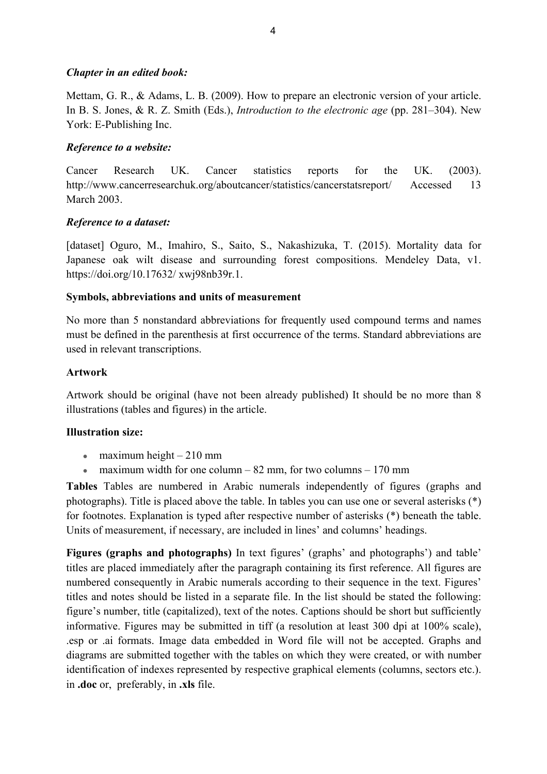#### *Chapter in an edited book:*

Mettam, G. R., & Adams, L. B. (2009). How to prepare an electronic version of your article. In B. S. Jones, & R. Z. Smith (Eds.), *Introduction to the electronic age* (pp. 281–304). New York: E-Publishing Inc.

## *Reference to a website:*

Cancer Research UK. Cancer statistics reports for the UK. (2003). http://www.cancerresearchuk.org/aboutcancer/statistics/cancerstatsreport/ Accessed 13 March 2003.

### *Reference to a dataset:*

[dataset] Oguro, M., Imahiro, S., Saito, S., Nakashizuka, T. (2015). Mortality data for Japanese oak wilt disease and surrounding forest compositions. Mendeley Data, v1. https://doi.org/10.17632/ xwj98nb39r.1.

### **Symbols, abbreviations and units of measurement**

No more than 5 nonstandard abbreviations for frequently used compound terms and names must be defined in the parenthesis at first occurrence of the terms. Standard abbreviations are used in relevant transcriptions.

### **Artwork**

Artwork should be original (have not been already published) It should be no more than 8 illustrations (tables and figures) in the article.

#### **Illustration size:**

- maximum height  $-210$  mm
- maximum width for one column  $82 \text{ mm}$ , for two columns  $170 \text{ mm}$

**Tables** Tables are numbered in Arabic numerals independently of figures (graphs and photographs). Title is placed above the table. In tables you can use one or several asterisks (\*) for footnotes. Explanation is typed after respective number of asterisks (\*) beneath the table. Units of measurement, if necessary, are included in lines' and columns' headings.

**Figures (graphs and photographs)** In text figures' (graphs' and photographs') and table' titles are placed immediately after the paragraph containing its first reference. All figures are numbered consequently in Arabic numerals according to their sequence in the text. Figures' titles and notes should be listed in a separate file. In the list should be stated the following: figure's number, title (capitalized), text of the notes. Captions should be short but sufficiently informative. Figures may be submitted in tiff (a resolution at least 300 dpi at 100% scale), .esp or .ai formats. Image data embedded in Word file will not be accepted. Graphs and diagrams are submitted together with the tables on which they were created, or with number identification of indexes represented by respective graphical elements (columns, sectors etc.). in **.doc** or, preferably, in **.xls** file.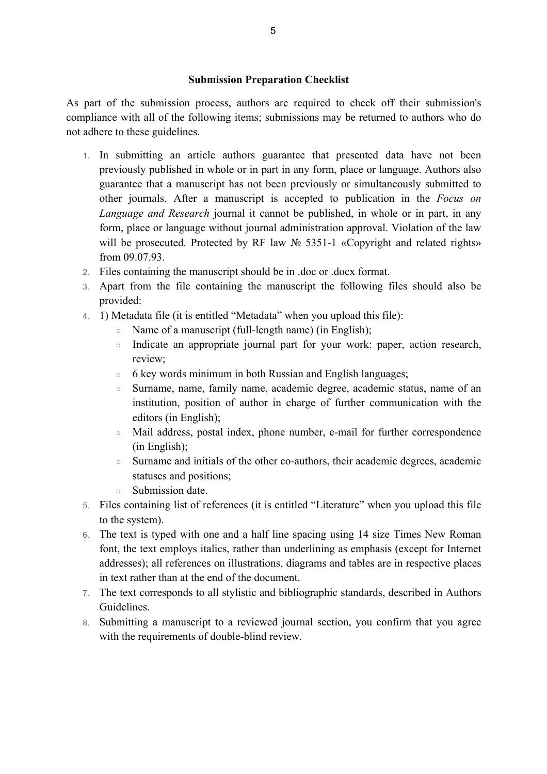### **Submission Preparation Checklist**

As part of the submission process, authors are required to check off their submission's compliance with all of the following items; submissions may be returned to authors who do not adhere to these guidelines.

- 1. In submitting an article authors guarantee that presented data have not been previously published in whole or in part in any form, place or language. Authors also guarantee that a manuscript has not been previously or simultaneously submitted to other journals. After a manuscript is accepted to publication in the *Focus on Language and Research* journal it cannot be published, in whole or in part, in any form, place or language without journal administration approval. Violation of the law will be prosecuted. Protected by RF law № 5351-1 «Copyright and related rights» from 09.07.93.
- 2. Files containing the manuscript should be in .doc or .docx format.
- 3. Apart from the file containing the manuscript the following files should also be provided:
- 4. 1) Metadata file (it is entitled "Metadata" when you upload this file):
	- Name of a manuscript (full-length name) (in English);
	- Indicate an appropriate journal part for your work: paper, action research, review;
	- 6 key words minimum in both Russian and English languages;
	- Surname, name, family name, academic degree, academic status, name of an institution, position of author in charge of further communication with the editors (in English);
	- Mail address, postal index, phone number, e-mail for further correspondence (in English);
	- Surname and initials of the other co-authors, their academic degrees, academic statuses and positions;
	- Submission date.
- 5. Files containing list of references (it is entitled "Literature" when you upload this file to the system).
- 6. The text is typed with one and a half line spacing using 14 size Times New Roman font, the text employs italics, rather than underlining as emphasis (except for Internet addresses); all references on illustrations, diagrams and tables are in respective places in text rather than at the end of the document.
- 7. The text corresponds to all stylistic and bibliographic standards, described in Authors Guidelines.
- 8. Submitting a manuscript to a reviewed journal section, you confirm that you agree with the requirements of double-blind review.